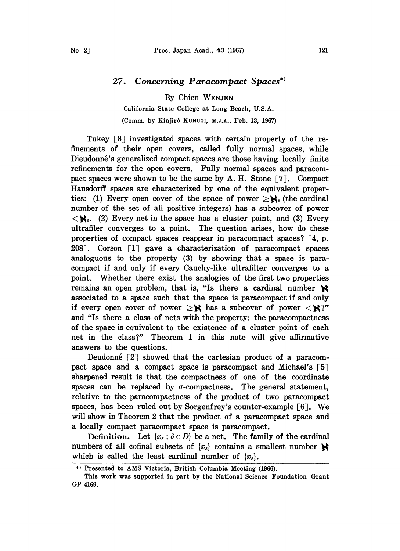## 27. Concerning Paracompact Spaces

By Chien WENJEN

California State College at Long Beach, U.S.A. (Comm. by Kinjir6 KUNUGI, M.J.A., Feb. 13, 1967)

Tukey  $\lceil 8 \rceil$  investigated spaces with certain property of the refinements of their open covers, called fully normal spaces, while Dieudonné's generalized compact spaces are those having locally finite refinements for the open covers. Fully normal spaces and paracompact spaces were shown to be the same by A. H. Stone  $\lceil 7 \rceil$ . Compact Hausdorff spaces are characterized by one of the equivalent properties: (1) Every open cover of the space of power  $\geq \mathbb{N}_0$  (the cardinal number of the set of all positive integers) has a subcover of power  $\langle \mathbf{R}_{0}$ . (2) Every net in the space has a cluster point, and (3) Every ultrafiler converges to a point. The question arises, how do these properties of compact spaces reappear in paracompact spaces?  $\lceil 4, p$ . 208]. Corson  $\lceil 1 \rceil$  gave a characterization of paracompact spaces analoguous to the property (3) by showing that a space is paracompact if and only if every Cauchy-like ultrafilter converges to a point. Whether there exist the analogies of the first two properties remains an open problem, that is, "Is there a cardinal number  $\mathbf{\aleph}$ associated to a space such that the space is paracompact if and only if every open cover of power  $\geq$ **X** has a subcover of power  $\lt$ **X**?" and "Is there a class of nets with the property: the paracompactness of the space is equivalent to the existence of-a cluster point of each net in the class?" Theorem 1 in this note will give affirmative answers to the questions.

Deudonné  $\lceil 2 \rceil$  showed that the cartesian product of a paracompact space and a compact space is paracompact and Michael's  $\lceil 5 \rceil$ sharpened result is that the compactness of one of the coordinate spaces can be replaced by  $\sigma$ -compactness. The general statement, relative to the paracompactness of the product of two paracompact spaces, has been ruled out by Sorgenfrey's counter-example  $\lceil 6 \rceil$ . We will show in Theorem 2 that the product of a paracompact space and a locally compact paracompact space is paracompact.

Definition. Let  $\{x_{\delta} : \delta \in D\}$  be a net. The family of the cardinal numbers of all cofinal subsets of  $\{x_s\}$  contains a smallest number  $\mathcal{S}$ which is called the least cardinal number of  $\{x_{\delta}\}.$ 

Presented to AMS Victoria, British Columbia Meeting (1966).

This work was supported in part by the National Science Foundation Grant GP-4169.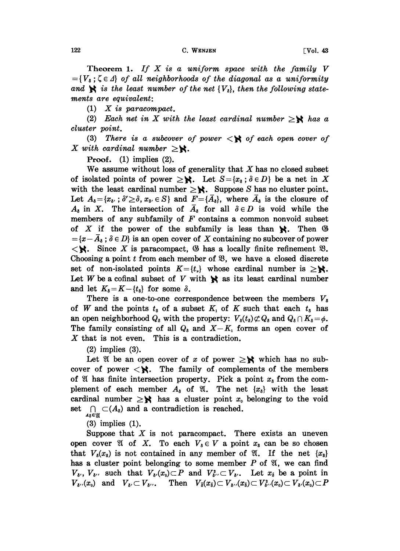## $122$  C. WENJEN  $[Vol. 43$

Theorem 1. If  $X$  is a uniform space with the family  $V$  $=\{V_{\delta}:\zeta\in\Lambda\}$  of all neighborhoods of the diagonal as a uniformity and  $\mathbf{R}$  is the least number of the net  $\{V_{\delta}\}\)$ , then the following statements are equivalent.

(1) X is paracompact.

(2) Each net in X with the least cardinal number  $\geq$ **N** has a cluster point.

(3) There is a subcover of power  $\langle \mathbf{R} \rangle$  of each open cover of X with cardinal number  $\geq$ **X**.

Proof. (1) implies (2).

We assume without loss of generality that  $X$  has no closed subset of isolated points of power  $\geq$ **N**. Let  $S = \{x_{\delta} : \delta \in D\}$  be a net in X with the least cardinal number  $\geq$ **X**. Suppose S has no cluster point. Let  $A_{\delta} = \{x_{\delta}, : \delta' \geq \delta, x_{\delta} \in S\}$  and  $F = \{\overline{A}_{\delta}\}\$ , where  $\overline{A}_{\delta}$  is the closure of  $A_{\delta}$  in X. The intersection of  $\overline{A}_{\delta}$  for all  $\delta \in D$  is void while the members of any subfamily of  $F$  contains a common nonvoid subset of X if the power of the subfamily is less than  $\mathcal{R}$ . Then  $\mathcal{B}$  $=\{x-\overline{A}_s : \delta \in D\}$  is an open cover of X containing no subcover of po<br>  $\langle \mathbf{R} \rangle$ . Since X is paracompact,  $\langle \mathbf{S} \rangle$  has a locally finite refinement<br>
Choosing a point t from each member of  $\mathcal{R}$  we have a closed  ${x- A_s; \delta \in D}$  is an open cover of X containing no subcover of power Choosing a point  $t$  from each member of  $\mathfrak{B}$ , we have a closed discrete set of non-isolated points  $K = \{t_{\nu}\}\$  whose cardinal number is  $\geq$ **X**. Let W be a cofinal subset of V with  $\mathbf{R}$  as its least cardinal number and let  $K_3 = K - \{t_{\delta}\}\)$  for some  $\delta$ .

There is a one-to-one correspondence between the members  $V_3$ of W and the points  $t_{\delta}$  of a subset  $K_1$  of K such that each  $t_{\delta}$  has an open neighborhood  $Q_{\delta}$  with the property:  $V_{\delta}(t_{\delta})\not\subset Q_{\delta}$  and  $Q_{\delta}\cap K_{\delta}=\phi$ . The family consisting of all  $Q_8$  and  $X-K_1$  forms an open cover of X that is not even. This is a contradiction.

(2) implies (3).

Let  $\mathbb{R}$  be an open cover of x of power  $\geq$ **X** which has no sub-<br>Let  $\mathbb{R}$  be an open cover of x of power  $\geq$ **X** which has no sub-Let  $\mathcal{X}$  be an open cover of x of power  $\geq \mathcal{X}$  which has no sub-<br>cover of power  $\lt \mathcal{X}$ . The family of complements of the members of  $\mathfrak A$  has finite intersection property. Pick a point  $x_5$  from the complement of each member  $A_{\delta}$  of  $\mathfrak{A}$ . The net  $\{x_{\delta}\}\$  with the least cardinal number  $\geq$ **X** has a cluster point  $x_0$  belonging to the void set  $\bigcap_{A_{\delta} \in \mathfrak{A}} \subset (A_{\delta})$  and a contradiction is reached.

(3) implies (1).

Suppose that  $X$  is not paracompact. There exists an uneven open cover  $\mathfrak A$  of X. To each  $V_{\delta} \in V$  a point  $x_{\delta}$  can be so chosen that  $V_{\delta}(x_{\delta})$  is not contained in any member of  $\mathfrak{A}$ . If the net  $\{x_{\delta}\}$ has a cluster point belonging to some member  $P$  of  $\mathfrak{A}$ , we can find  $V_{\delta}$ ,  $V_{\delta}$ , such that  $V_{\delta}$ ,  $(x_0) \subset P$  and  $V_{\delta}$ ,  $\subset V_{\delta}$ . Let  $x_{\delta}$  be a point in  $V_{\delta}$ ,  $(x_0)$  and  $V_{\delta}$ ,  $\subset V_{\delta}$ ,... Then  $V_{\overline{\delta}}(x_{\overline{\delta}}) \subset V_{\delta}$ ,  $(x_{\overline{\delta}}) \subset V_{\delta}^2$ ,  $(x_0) \subset V_{\delta}$ ,  $(x_0) \subset P$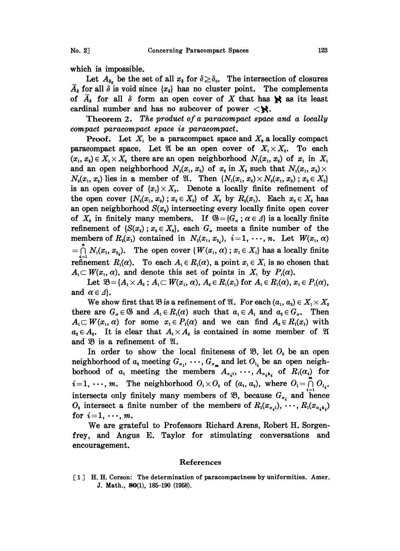which is impossible.

 $\overline{A}_\delta$  for all  $\delta$  is void since  $\{x_\delta\}$  has no cluster point. The complements Let  $A_{\delta_0}$  be the set of all  $x_{\delta}$  for  $\delta \geq \delta_0$ . The intersection of closures of  $\overline{A}_s$  for all  $\delta$  form an open cover of X that has  $\mathbb{R}$  as its least cardinal number and has no subcover of power  $\langle \cdot \rangle$ .

Theorem 2. The product of a paracompact space and a locally compact paracompact space is paracompact.

**Proof.** Let  $X_1$  be a paracompact space and  $X_2$  a locally compact paracompact space. Let  $\mathfrak A$  be an open cover of  $X_1 \times X_2$ . To each  $(x_1, x_2) \in X_1 \times X_2$  there are an open neighborhood  $N_1(x_1, x_2)$  of  $x_1$  in  $X_1$ and an open neighborhood  $N_2(x_1, x_2)$  of  $x_2$  in  $X_2$  such that  $N_1(x_1, x_2) \times$  $N_2(x_1, x_2)$  lies in a member of  $\mathfrak{A}$ . Then  $\{N_1(x_1, x_2) \times N_2(x_1, x_2)$ ;  $x_2 \in X_2\}$ is an open cover of  $\{x_i\} \times X_i$ . Denote a locally finite refinement of the open cover  $\{N_2(x_1, x_2): x_2 \in X_2\}$  of  $X_2$  by  $R_2(x_1)$ . Each  $x_2 \in X_2$  has an open neighborhood  $S(x<sub>2</sub>)$  intersecting every locally finite open cover of  $X<sub>2</sub>$  in finitely many members. If  $\mathfrak{G} = \{G_{\alpha} : \alpha \in \Lambda\}$  is a locally finite refinement of  $\{S(x_2)$ ;  $x_2 \in X_2\}$ , each  $G_\alpha$  meets a finite number of the members of  $R_2(x_1)$  contained in  $N_2(x_1, x_2)$ ,  $i=1, \dots, n$ . Let  $W(x_1, \alpha)$  $=\bigcap_{i=1} N_1(x_1, x_{2_i})$ . The open cover  $\{W(x_1, \alpha)$ ;  $x_1 \in X_1\}$  has a locally finite refinement  $R_1(\alpha)$ . To each  $A_1 \in R_1(\alpha)$ , a point  $x_1 \in X_1$  is so chosen that  $A_1 \subset W(x_1, \alpha)$ , and denote this set of points in  $X_$ 

Let  $\mathfrak{B} = \{A_1 \times A_2 : A_1 \subset W(x_1, \alpha), A_2 \in R_1(x_1) \text{ for } A_1 \in R_1(\alpha), x_1 \in P_1(\alpha), \alpha \in A\}.$ <br>We show first that  $\mathfrak{B}$  is a refinement of  $\mathfrak{A}$ . For each  $(a_1, a_2) \in X_1 \times X_2$ <br>e are  $G_x \in \mathfrak{B}$  and  $A_1 \in R_1(\alpha)$  such that and  $\alpha \in \Lambda$ .

We show first that  $\mathfrak{B}$  is a refinement of  $\mathfrak{A}$ . For each  $(a_1, a_2) \in X_1 \times X_2$ . there are  $G_{\alpha} \in \mathfrak{G}$  and  $A_1 \in R_1(\alpha)$  such that  $a_1 \in A_1$  and  $a_2 \in G_{\alpha}$ . Then  $A_1 \subset W(x_1, \alpha)$  for some  $x_1 \in P_1(\alpha)$  and we can find  $A_2 \in R_1(x_1)$  with  $A_1 \subset W(x_1, \alpha)$  for some  $x_1 \in P_1(\alpha)$  and we can find  $A_2 \in R_1(x_1)$  with  $a_2 \in A_2$ . It is clear that  $A_1 \times A_2$  is contained in some member of  $\mathfrak A$ and  $\mathfrak{B}$  is a refinement of  $\mathfrak{A}$ .

In order to show the local finiteness of  $\mathfrak{B}$ , let  $O_2$  be an open In order to show the local initeness of  $\mathfrak{B}$ , let  $O_i$  be an open<br>neighborhood of  $a_i$  meeting  $G_{\alpha_1}, \dots, G_{\alpha_m}$  and let  $O_{i_i}$  be an open neigh-<br>borhood of  $a_1$  meeting the members  $A_{\alpha_i 1}, \dots, A_{\alpha_i k_i}$  of  $R_1(\alpha$ borhood of  $a_1$  meeting the members  $A_{a_i,1}, \dots, A_{a_i, h_i}$  of  $R_1(\alpha_i)$  for  $i=1, \dots, m$ . The neighborhood  $O_1 \times O_2$  of  $(a_1, a_2)$ , where  $O_1 = \bigcap_{i=1}^{m} O_{1_i}$ , intersects only finitely many members of  $\mathfrak{B}$ , because  $G_{\alpha}$ , and hence  $O_2$  intersect a finite number of the members of  $R_1(x_{\alpha_i,1}),\ldots,R_1(x_{\alpha_i,k_i})$ for  $i=1, \dots, m$ .

We are grateful to Professors Richard Arens, Robert H. Sorgenfrey, and Angus E. Taylor for stimulating conversations and encouragement.

## References

[ <sup>1</sup> ] H.H. Corson: The determination of paracompactness by uniformities. Amer. J. Math., 80(1), 185-190 (1958).